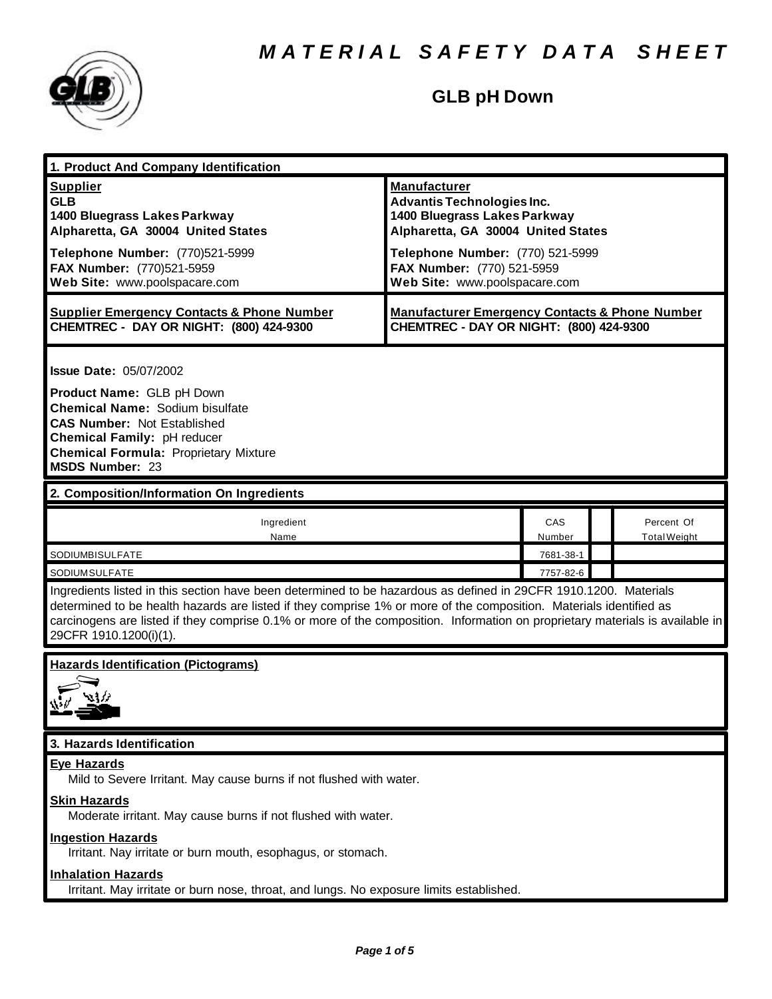

# **GLB pH Down**

| 1. Product And Company Identification                                                                                                                                                                                                                                                                                                                                                                                                  |                                                                                                                                                                                                                                   |               |  |                                   |  |
|----------------------------------------------------------------------------------------------------------------------------------------------------------------------------------------------------------------------------------------------------------------------------------------------------------------------------------------------------------------------------------------------------------------------------------------|-----------------------------------------------------------------------------------------------------------------------------------------------------------------------------------------------------------------------------------|---------------|--|-----------------------------------|--|
| <b>Supplier</b><br><b>GLB</b><br>1400 Bluegrass Lakes Parkway<br>Alpharetta, GA 30004 United States<br>Telephone Number: (770)521-5999<br>FAX Number: (770)521-5959<br>Web Site: www.poolspacare.com                                                                                                                                                                                                                                   | <b>Manufacturer</b><br><b>Advantis Technologies Inc.</b><br>1400 Bluegrass Lakes Parkway<br>Alpharetta, GA 30004 United States<br>Telephone Number: (770) 521-5999<br>FAX Number: (770) 521-5959<br>Web Site: www.poolspacare.com |               |  |                                   |  |
| <b>Supplier Emergency Contacts &amp; Phone Number</b><br>CHEMTREC - DAY OR NIGHT: (800) 424-9300                                                                                                                                                                                                                                                                                                                                       | <b>Manufacturer Emergency Contacts &amp; Phone Number</b><br>CHEMTREC - DAY OR NIGHT: (800) 424-9300                                                                                                                              |               |  |                                   |  |
| <b>Issue Date: 05/07/2002</b><br>Product Name: GLB pH Down<br><b>Chemical Name: Sodium bisulfate</b><br><b>CAS Number: Not Established</b><br>Chemical Family: pH reducer<br><b>Chemical Formula: Proprietary Mixture</b><br><b>MSDS Number: 23</b>                                                                                                                                                                                    |                                                                                                                                                                                                                                   |               |  |                                   |  |
| 2. Composition/Information On Ingredients                                                                                                                                                                                                                                                                                                                                                                                              |                                                                                                                                                                                                                                   |               |  |                                   |  |
| Ingredient<br>Name                                                                                                                                                                                                                                                                                                                                                                                                                     |                                                                                                                                                                                                                                   | CAS<br>Number |  | Percent Of<br><b>Total Weight</b> |  |
| SODIUMBISULFATE                                                                                                                                                                                                                                                                                                                                                                                                                        |                                                                                                                                                                                                                                   | 7681-38-1     |  |                                   |  |
| 7757-82-6<br><b>SODIUMSULFATE</b><br>Ingredients listed in this section have been determined to be hazardous as defined in 29CFR 1910.1200. Materials<br>determined to be health hazards are listed if they comprise 1% or more of the composition. Materials identified as<br>carcinogens are listed if they comprise 0.1% or more of the composition. Information on proprietary materials is available in<br>29CFR 1910.1200(i)(1). |                                                                                                                                                                                                                                   |               |  |                                   |  |
| <b>Hazards Identification (Pictograms)</b>                                                                                                                                                                                                                                                                                                                                                                                             |                                                                                                                                                                                                                                   |               |  |                                   |  |
| 3. Hazards Identification                                                                                                                                                                                                                                                                                                                                                                                                              |                                                                                                                                                                                                                                   |               |  |                                   |  |
| <b>Eye Hazards</b><br>Mild to Severe Irritant. May cause burns if not flushed with water.<br><b>Skin Hazards</b><br>Moderate irritant. May cause burns if not flushed with water.<br><b>Ingestion Hazards</b>                                                                                                                                                                                                                          |                                                                                                                                                                                                                                   |               |  |                                   |  |
| Irritant. Nay irritate or burn mouth, esophagus, or stomach.<br><b>Inhalation Hazards</b><br>Irritant. May irritate or burn nose, throat, and lungs. No exposure limits established.                                                                                                                                                                                                                                                   |                                                                                                                                                                                                                                   |               |  |                                   |  |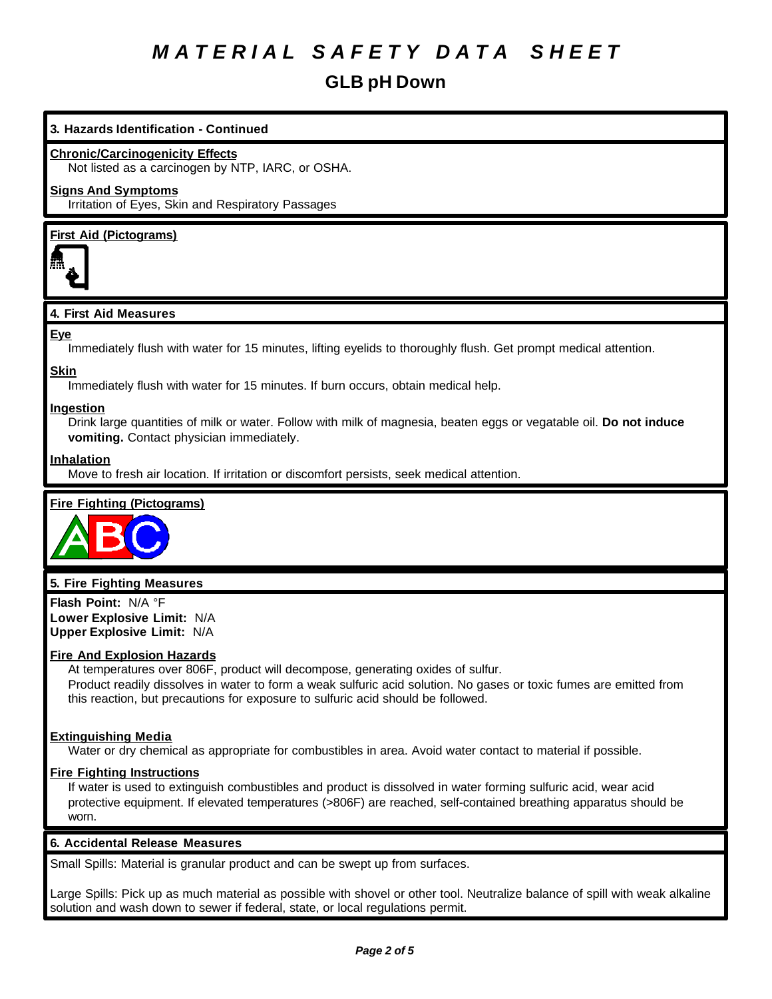# **GLB pH Down**

## **3. Hazards Identification - Continued**

#### **Chronic/Carcinogenicity Effects**

Not listed as a carcinogen by NTP, IARC, or OSHA.

### **Signs And Symptoms**

Irritation of Eyes, Skin and Respiratory Passages

## **First Aid (Pictograms)**



### **4. First Aid Measures**

### **Eye**

Immediately flush with water for 15 minutes, lifting eyelids to thoroughly flush. Get prompt medical attention.

# **Skin**

Immediately flush with water for 15 minutes. If burn occurs, obtain medical help.

### **Ingestion**

Drink large quantities of milk or water. Follow with milk of magnesia, beaten eggs or vegatable oil. **Do not induce vomiting.** Contact physician immediately.

### **Inhalation**

Move to fresh air location. If irritation or discomfort persists, seek medical attention.

## **Fire Fighting (Pictograms)**



## **5. Fire Fighting Measures**

**Flash Point:** N/A °F **Lower Explosive Limit:** N/A **Upper Explosive Limit:** N/A

#### **Fire And Explosion Hazards**

At temperatures over 806F, product will decompose, generating oxides of sulfur. Product readily dissolves in water to form a weak sulfuric acid solution. No gases or toxic fumes are emitted from this reaction, but precautions for exposure to sulfuric acid should be followed.

#### **Extinguishing Media**

Water or dry chemical as appropriate for combustibles in area. Avoid water contact to material if possible.

## **Fire Fighting Instructions**

If water is used to extinguish combustibles and product is dissolved in water forming sulfuric acid, wear acid protective equipment. If elevated temperatures (>806F) are reached, self-contained breathing apparatus should be worn.

## **6. Accidental Release Measures**

Small Spills: Material is granular product and can be swept up from surfaces.

Large Spills: Pick up as much material as possible with shovel or other tool. Neutralize balance of spill with weak alkaline solution and wash down to sewer if federal, state, or local regulations permit.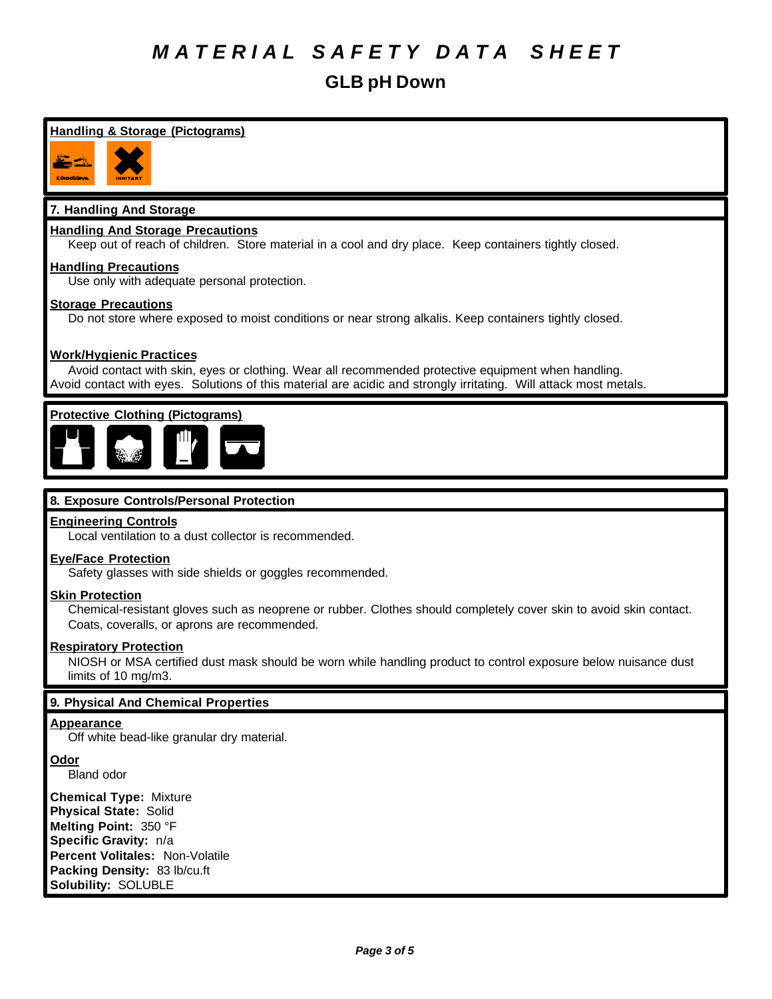# **GLB pH Down**

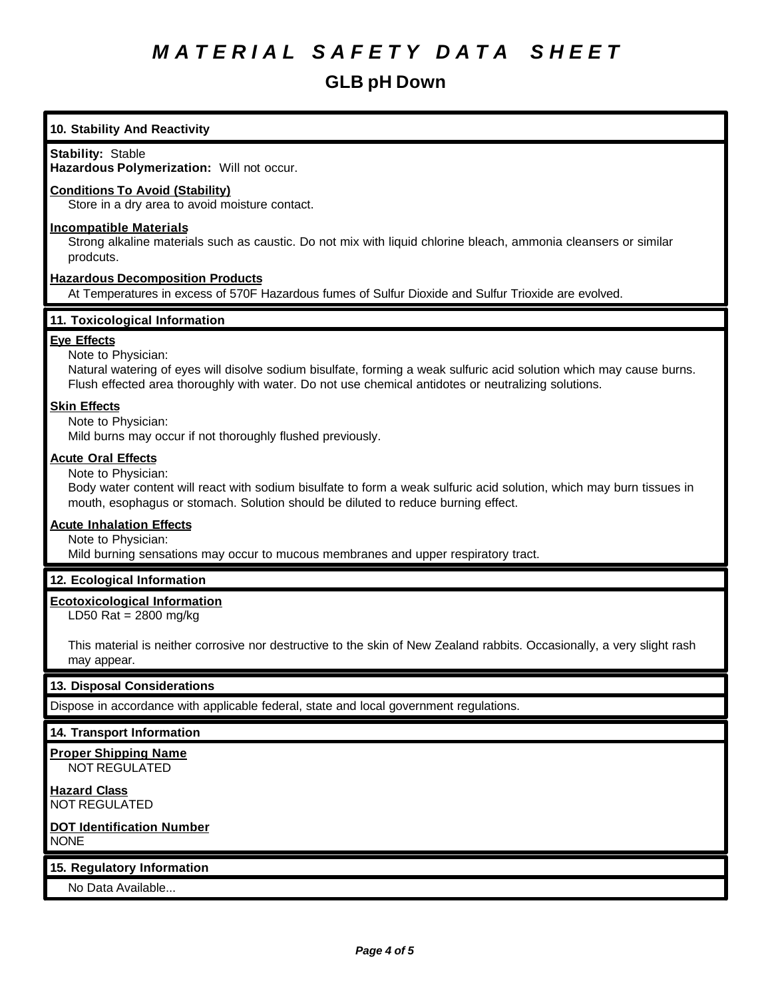# **GLB pH Down**

# **Stability:** Stable **Hazardous Polymerization:** Will not occur. **Conditions To Avoid (Stability)** Store in a dry area to avoid moisture contact. **Incompatible Materials** Strong alkaline materials such as caustic. Do not mix with liquid chlorine bleach, ammonia cleansers or similar prodcuts. **Hazardous Decomposition Products** At Temperatures in excess of 570F Hazardous fumes of Sulfur Dioxide and Sulfur Trioxide are evolved. **11. Toxicological Information Eye Effects** Note to Physician:

Natural watering of eyes will disolve sodium bisulfate, forming a weak sulfuric acid solution which may cause burns. Flush effected area thoroughly with water. Do not use chemical antidotes or neutralizing solutions.

## **Skin Effects**

Note to Physician:

**10. Stability And Reactivity**

Mild burns may occur if not thoroughly flushed previously.

### **Acute Oral Effects**

Note to Physician:

Body water content will react with sodium bisulfate to form a weak sulfuric acid solution, which may burn tissues in mouth, esophagus or stomach. Solution should be diluted to reduce burning effect.

## **Acute Inhalation Effects**

Note to Physician:

Mild burning sensations may occur to mucous membranes and upper respiratory tract.

## **12. Ecological Information**

## **Ecotoxicological Information**

LD50 Rat = 2800 mg/kg

This material is neither corrosive nor destructive to the skin of New Zealand rabbits. Occasionally, a very slight rash may appear.

## **13. Disposal Considerations**

Dispose in accordance with applicable federal, state and local government regulations.

#### **14. Transport Information**

**Proper Shipping Name** NOT REGULATED

**Hazard Class** NOT REGULATED

### **DOT Identification Number** NONE

**15. Regulatory Information**

No Data Available...